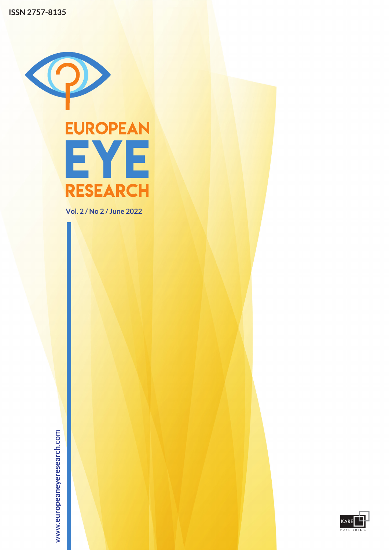

**Vol. 2 / No 2 / June 2022**

www.europeaneyeresearch.com

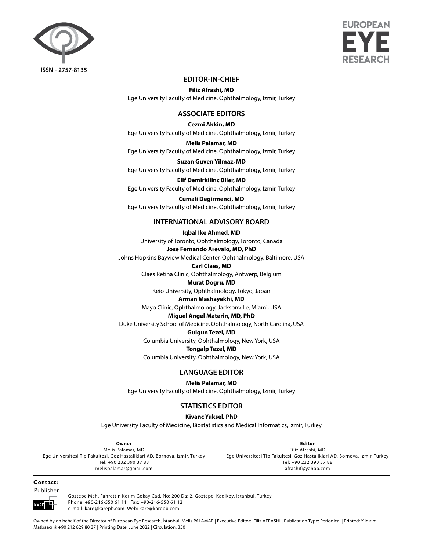



# **EDITOR-IN-CHIEF**

**Filiz Afrashi, MD** Ege University Faculty of Medicine, Ophthalmology, Izmir, Turkey

# **ASSOCIATE EDITORS**

#### **Cezmi Akkin, MD**

Ege University Faculty of Medicine, Ophthalmology, Izmir, Turkey

**Melis Palamar, MD**

Ege University Faculty of Medicine, Ophthalmology, Izmir, Turkey

**Suzan Guven Yilmaz, MD** Ege University Faculty of Medicine, Ophthalmology, Izmir, Turkey

**Elif Demirkilinc Biler, MD** Ege University Faculty of Medicine, Ophthalmology, Izmir, Turkey

**Cumali Degirmenci, MD** Ege University Faculty of Medicine, Ophthalmology, Izmir, Turkey

# **INTERNATIONAL ADVISORY BOARD**

## **Iqbal Ike Ahmed, MD**

University of Toronto, Ophthalmology, Toronto, Canada

**Jose Fernando Arevalo, MD, PhD**

Johns Hopkins Bayview Medical Center, Ophthalmology, Baltimore, USA

# **Carl Claes, MD**

Claes Retina Clinic, Ophthalmology, Antwerp, Belgium

### **Murat Dogru, MD**

Keio University, Ophthalmology, Tokyo, Japan

# **Arman Mashayekhi, MD**

Mayo Clinic, Ophthalmology, Jacksonville, Miami, USA

# **Miguel Angel Materin, MD, PhD**

Duke University School of Medicine, Ophthalmology, North Carolina, USA

#### **Gulgun Tezel, MD**

Columbia University, Ophthalmology, New York, USA

#### **Tongalp Tezel, MD**

Columbia University, Ophthalmology, New York, USA

# **LANGUAGE EDITOR**

**Melis Palamar, MD**

Ege University Faculty of Medicine, Ophthalmology, Izmir, Turkey

# **STATISTICS EDITOR**

# **Kivanc Yuksel, PhD**

Ege University Faculty of Medicine, Biostatistics and Medical Informatics, Izmir, Turkey

**Owner** Melis Palamar, MD Ege Universitesi Tip Fakultesi, Goz Hastaliklari AD, Bornova, Izmir, Turkey Tel: +90 232 390 37 88 melispalamar@gmail.com

**Editor** Filiz Afrashi, MD Ege Universitesi Tip Fakultesi, Goz Hastaliklari AD, Bornova, Izmir, Turkey Tel: +90 232 390 37 88 afrashif@yahoo.com

#### **Contact:** Publisher



Goztepe Mah. Fahrettin Kerim Gokay Cad. No: 200 Da: 2, Goztepe, Kadikoy, Istanbul, Turkey Phone: +90-216-550 61 11 Fax: +90-216-550 61 12 e-mail: kare@karepb.com Web: kare@karepb.com

Owned by on behalf of the Director of European Eye Research, İstanbul: Melis PALAMAR | Executive Editor: Filiz AFRASHI | Publication Type: Periodical | Printed: Yıldırım Matbaacılık +90 212 629 80 37 | Printing Date: June 2022 | Circulation: 350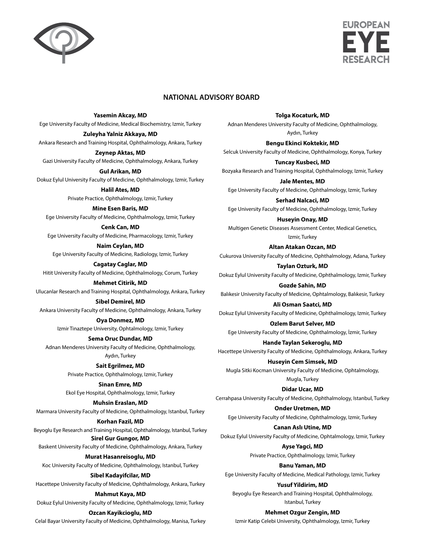



# **NATIONAL ADVISORY BOARD**

#### **Yasemin Akcay, MD**

Ege University Faculty of Medicine, Medical Biochemistry, Izmir, Turkey

**Zuleyha Yalniz Akkaya, MD** Ankara Research and Training Hospital, Ophthalmology, Ankara, Turkey

**Zeynep Aktas, MD** Gazi University Faculty of Medicine, Ophthalmology, Ankara, Turkey

**Gul Arikan, MD** Dokuz Eylul University Faculty of Medicine, Ophthalmology, Izmir, Turkey

**Halil Ates, MD** Private Practice, Ophthalmology, Izmir, Turkey

**Mine Esen Baris, MD**

Ege University Faculty of Medicine, Ophthalmology, Izmir, Turkey

**Cenk Can, MD** Ege University Faculty of Medicine, Pharmacology, Izmir, Turkey

**Naim Ceylan, MD** Ege University Faculty of Medicine, Radiology, Izmir, Turkey

**Cagatay Caglar, MD** Hitit University Faculty of Medicine, Ophthalmology, Corum, Turkey **Mehmet Citirik, MD**

Ulucanlar Research and Training Hospital, Ophthalmology, Ankara, Turkey

**Sibel Demirel, MD** Ankara University Faculty of Medicine, Ophthalmology, Ankara, Turkey

> **Oya Donmez, MD** Izmir Tinaztepe University, Ophtalmology, Izmir, Turkey

**Sema Oruc Dundar, MD** Adnan Menderes University Faculty of Medicine, Ophthalmology, Aydın, Turkey

> **Sait Egrilmez, MD** Private Practice, Ophthalmology, Izmir, Turkey

**Sinan Emre, MD** Ekol Eye Hospital, Ophthalmology, Izmir, Turkey

**Muhsin Eraslan, MD**

Marmara University Faculty of Medicine, Ophthalmology, Istanbul, Turkey

**Korhan Fazil, MD**

Beyoglu Eye Research and Training Hospital, Ophthalmology, Istanbul, Turkey **Sirel Gur Gungor, MD**

Baskent University Faculty of Medicine, Ophthalmology, Ankara, Turkey

**Murat Hasanreisoglu, MD**

Koc University Faculty of Medicine, Ophthalmology, Istanbul, Turkey

**Sibel Kadayifcilar, MD**

Hacettepe University Faculty of Medicine, Ophthalmology, Ankara, Turkey

**Mahmut Kaya, MD**

Dokuz Eylul University Faculty of Medicine, Ophthalmology, Izmir, Turkey

#### **Ozcan Kayikcioglu, MD**

Celal Bayar University Faculty of Medicine, Ophthalmology, Manisa, Turkey

**Tolga Kocaturk, MD**

Adnan Menderes University Faculty of Medicine, Ophthalmology, Aydın, Turkey

**Bengu Ekinci Koktekir, MD** Selcuk University Faculty of Medicine, Ophthalmology, Konya, Turkey

**Tuncay Kusbeci, MD** Bozyaka Research and Training Hospital, Ophthalmology, Izmir, Turkey

**Jale Mentes, MD** Ege University Faculty of Medicine, Ophthalmology, Izmir, Turkey

**Serhad Nalcaci, MD** Ege University Faculty of Medicine, Ophthalmology, Izmir, Turkey

**Huseyin Onay, MD** Multigen Genetic Diseases Assessment Center, Medical Genetics, Izmir, Turkey

**Altan Atakan Ozcan, MD**

Cukurova University Faculty of Medicine, Ophthalmology, Adana, Turkey

**Taylan Ozturk, MD** Dokuz Eylul University Faculty of Medicine, Ophthalmology, Izmir, Turkey

**Gozde Sahin, MD** Balıkesir University Faculty of Medicine, Ophtalmology, Balıkesir, Turkey

**Ali Osman Saatci, MD** Dokuz Eylul University Faculty of Medicine, Ophthalmology, Izmir, Turkey

**Ozlem Barut Selver, MD** Ege University Faculty of Medicine, Ophthalmology, İzmir, Turkey

**Hande Taylan Sekeroglu, MD** Hacettepe University Faculty of Medicine, Ophthalmology, Ankara, Turkey

**Huseyin Cem Simsek, MD** Mugla Sitki Kocman University Faculty of Medicine, Ophtalmology, Mugla, Turkey

**Didar Ucar, MD** Cerrahpasa University Faculty of Medicine, Ophthalmology, Istanbul, Turkey

**Onder Uretmen, MD** Ege University Faculty of Medicine, Ophthalmology, Izmir, Turkey

**Canan Aslı Utine, MD** Dokuz Eylul University Faculty of Medicine, Ophtalmology, Izmir, Turkey

> **Ayse Yagci, MD** Private Practice, Ophthalmology, Izmir, Turkey

**Banu Yaman, MD** Ege University Faculty of Medicine, Medical Pathology, Izmir, Turkey

**Yusuf Yildirim, MD** Beyoglu Eye Research and Training Hospital, Ophthalmology, Istanbul, Turkey

**Mehmet Ozgur Zengin, MD**

Izmir Katip Celebi University, Ophthalmology, Izmir, Turkey